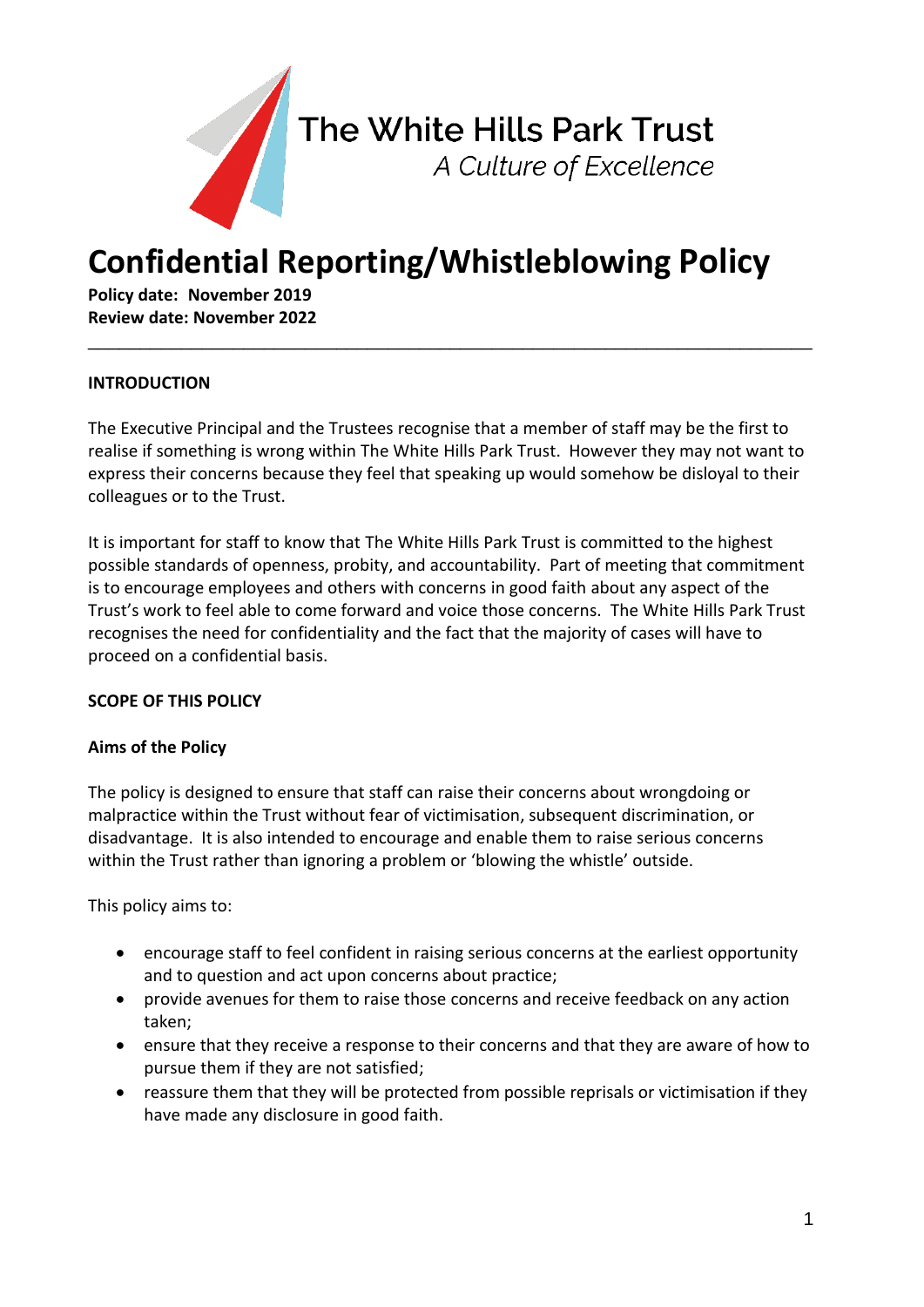

# **Confidential Reporting/Whistleblowing Policy**

**Policy date: November 2019 Review date: November 2022**

## **INTRODUCTION**

The Executive Principal and the Trustees recognise that a member of staff may be the first to realise if something is wrong within The White Hills Park Trust. However they may not want to express their concerns because they feel that speaking up would somehow be disloyal to their colleagues or to the Trust.

\_\_\_\_\_\_\_\_\_\_\_\_\_\_\_\_\_\_\_\_\_\_\_\_\_\_\_\_\_\_\_\_\_\_\_\_\_\_\_\_\_\_\_\_\_\_\_\_\_\_\_\_\_\_\_\_\_\_\_\_\_\_\_\_\_\_\_\_\_\_

It is important for staff to know that The White Hills Park Trust is committed to the highest possible standards of openness, probity, and accountability. Part of meeting that commitment is to encourage employees and others with concerns in good faith about any aspect of the Trust's work to feel able to come forward and voice those concerns. The White Hills Park Trust recognises the need for confidentiality and the fact that the majority of cases will have to proceed on a confidential basis.

#### **SCOPE OF THIS POLICY**

#### **Aims of the Policy**

The policy is designed to ensure that staff can raise their concerns about wrongdoing or malpractice within the Trust without fear of victimisation, subsequent discrimination, or disadvantage. It is also intended to encourage and enable them to raise serious concerns within the Trust rather than ignoring a problem or 'blowing the whistle' outside.

This policy aims to:

- encourage staff to feel confident in raising serious concerns at the earliest opportunity and to question and act upon concerns about practice;
- provide avenues for them to raise those concerns and receive feedback on any action taken;
- ensure that they receive a response to their concerns and that they are aware of how to pursue them if they are not satisfied;
- reassure them that they will be protected from possible reprisals or victimisation if they have made any disclosure in good faith.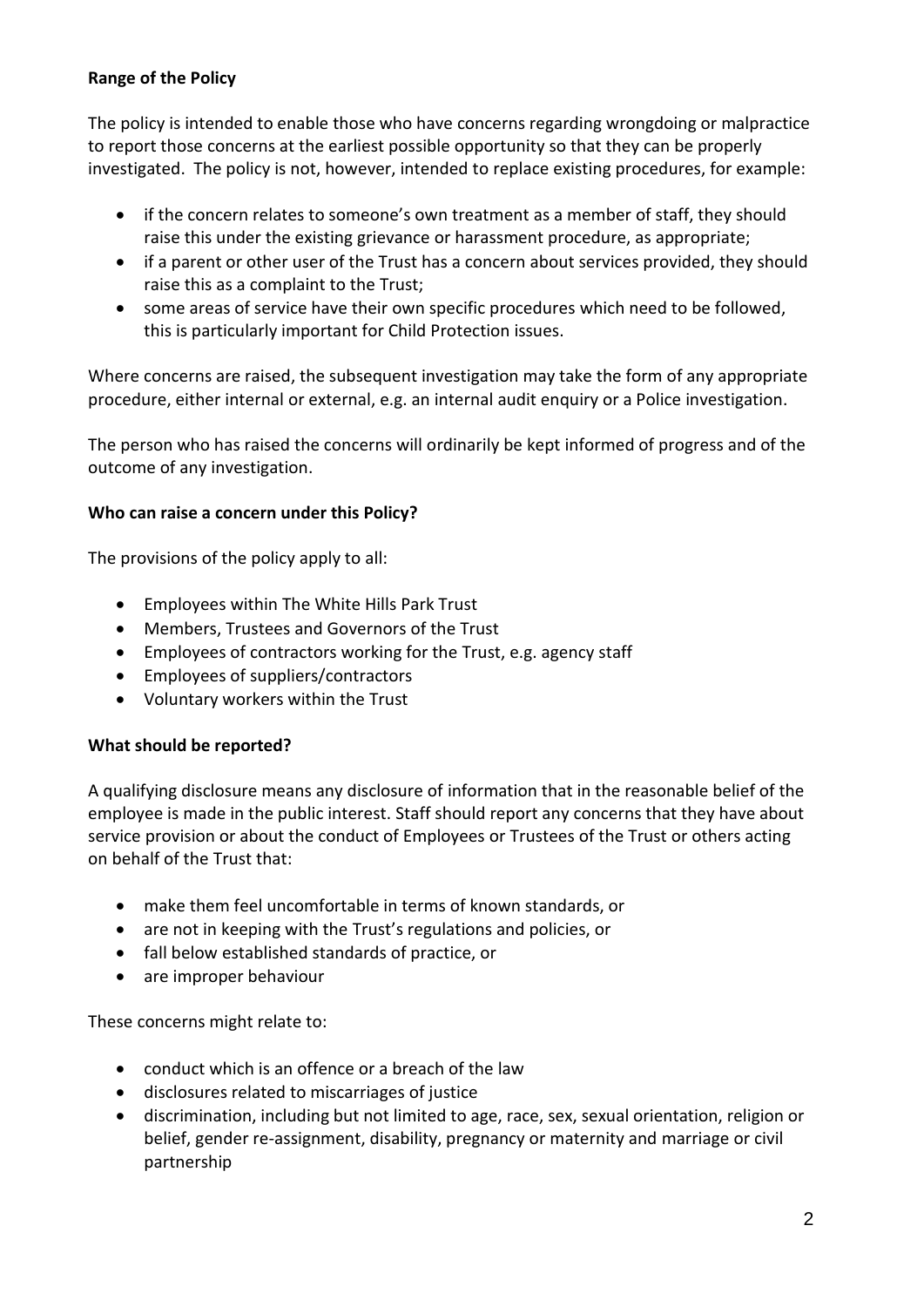## **Range of the Policy**

The policy is intended to enable those who have concerns regarding wrongdoing or malpractice to report those concerns at the earliest possible opportunity so that they can be properly investigated. The policy is not, however, intended to replace existing procedures, for example:

- if the concern relates to someone's own treatment as a member of staff, they should raise this under the existing grievance or harassment procedure, as appropriate;
- if a parent or other user of the Trust has a concern about services provided, they should raise this as a complaint to the Trust;
- some areas of service have their own specific procedures which need to be followed, this is particularly important for Child Protection issues.

Where concerns are raised, the subsequent investigation may take the form of any appropriate procedure, either internal or external, e.g. an internal audit enquiry or a Police investigation.

The person who has raised the concerns will ordinarily be kept informed of progress and of the outcome of any investigation.

## **Who can raise a concern under this Policy?**

The provisions of the policy apply to all:

- Employees within The White Hills Park Trust
- Members, Trustees and Governors of the Trust
- Employees of contractors working for the Trust, e.g. agency staff
- Employees of suppliers/contractors
- Voluntary workers within the Trust

# **What should be reported?**

A qualifying disclosure means any disclosure of information that in the reasonable belief of the employee is made in the public interest. Staff should report any concerns that they have about service provision or about the conduct of Employees or Trustees of the Trust or others acting on behalf of the Trust that:

- make them feel uncomfortable in terms of known standards, or
- are not in keeping with the Trust's regulations and policies, or
- fall below established standards of practice, or
- are improper behaviour

These concerns might relate to:

- conduct which is an offence or a breach of the law
- disclosures related to miscarriages of justice
- discrimination, including but not limited to age, race, sex, sexual orientation, religion or belief, gender re-assignment, disability, pregnancy or maternity and marriage or civil partnership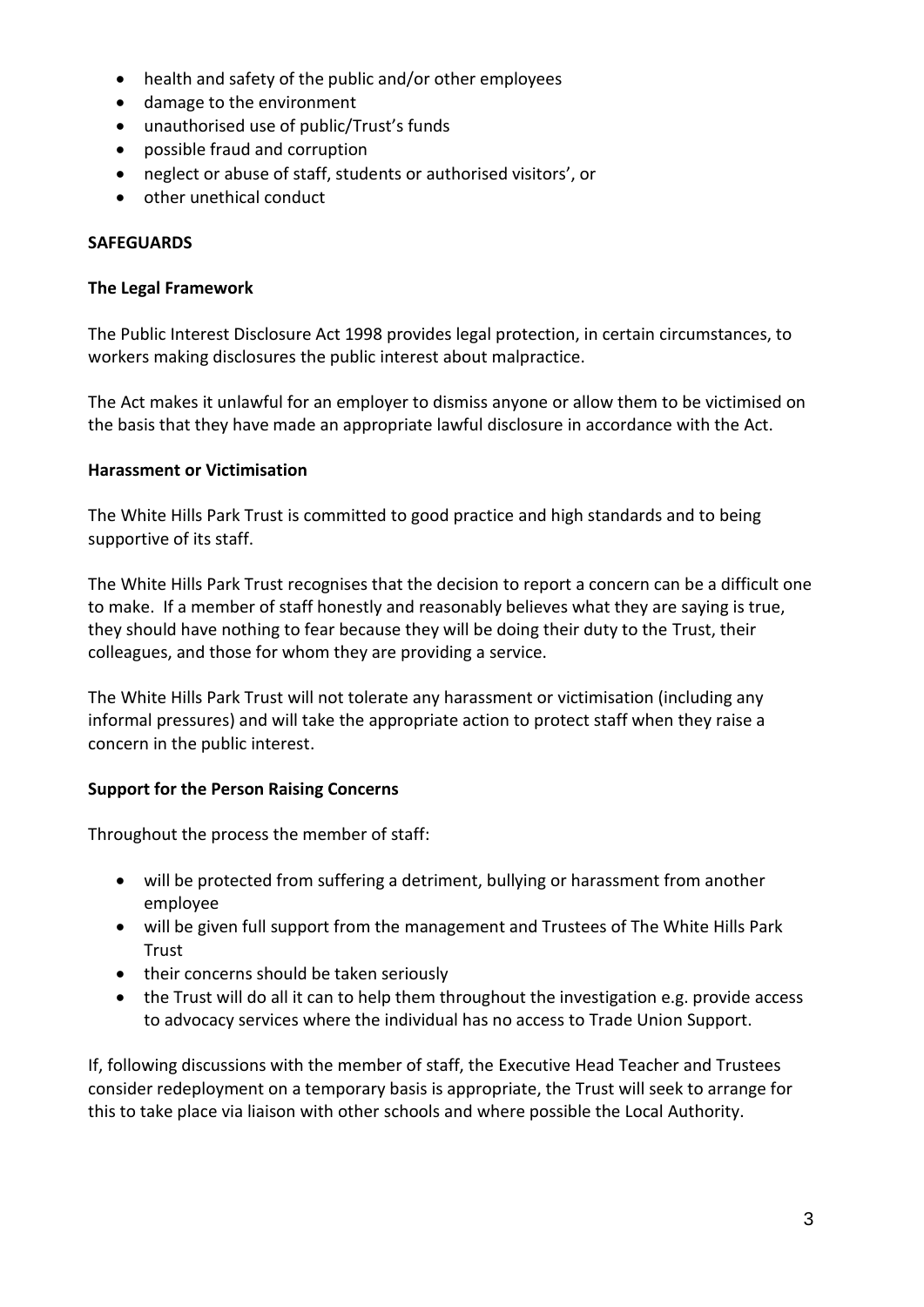- health and safety of the public and/or other employees
- damage to the environment
- unauthorised use of public/Trust's funds
- possible fraud and corruption
- neglect or abuse of staff, students or authorised visitors', or
- other unethical conduct

## **SAFEGUARDS**

#### **The Legal Framework**

The Public Interest Disclosure Act 1998 provides legal protection, in certain circumstances, to workers making disclosures the public interest about malpractice.

The Act makes it unlawful for an employer to dismiss anyone or allow them to be victimised on the basis that they have made an appropriate lawful disclosure in accordance with the Act.

#### **Harassment or Victimisation**

The White Hills Park Trust is committed to good practice and high standards and to being supportive of its staff.

The White Hills Park Trust recognises that the decision to report a concern can be a difficult one to make. If a member of staff honestly and reasonably believes what they are saying is true, they should have nothing to fear because they will be doing their duty to the Trust, their colleagues, and those for whom they are providing a service.

The White Hills Park Trust will not tolerate any harassment or victimisation (including any informal pressures) and will take the appropriate action to protect staff when they raise a concern in the public interest.

## **Support for the Person Raising Concerns**

Throughout the process the member of staff:

- will be protected from suffering a detriment, bullying or harassment from another employee
- will be given full support from the management and Trustees of The White Hills Park Trust
- their concerns should be taken seriously
- the Trust will do all it can to help them throughout the investigation e.g. provide access to advocacy services where the individual has no access to Trade Union Support.

If, following discussions with the member of staff, the Executive Head Teacher and Trustees consider redeployment on a temporary basis is appropriate, the Trust will seek to arrange for this to take place via liaison with other schools and where possible the Local Authority.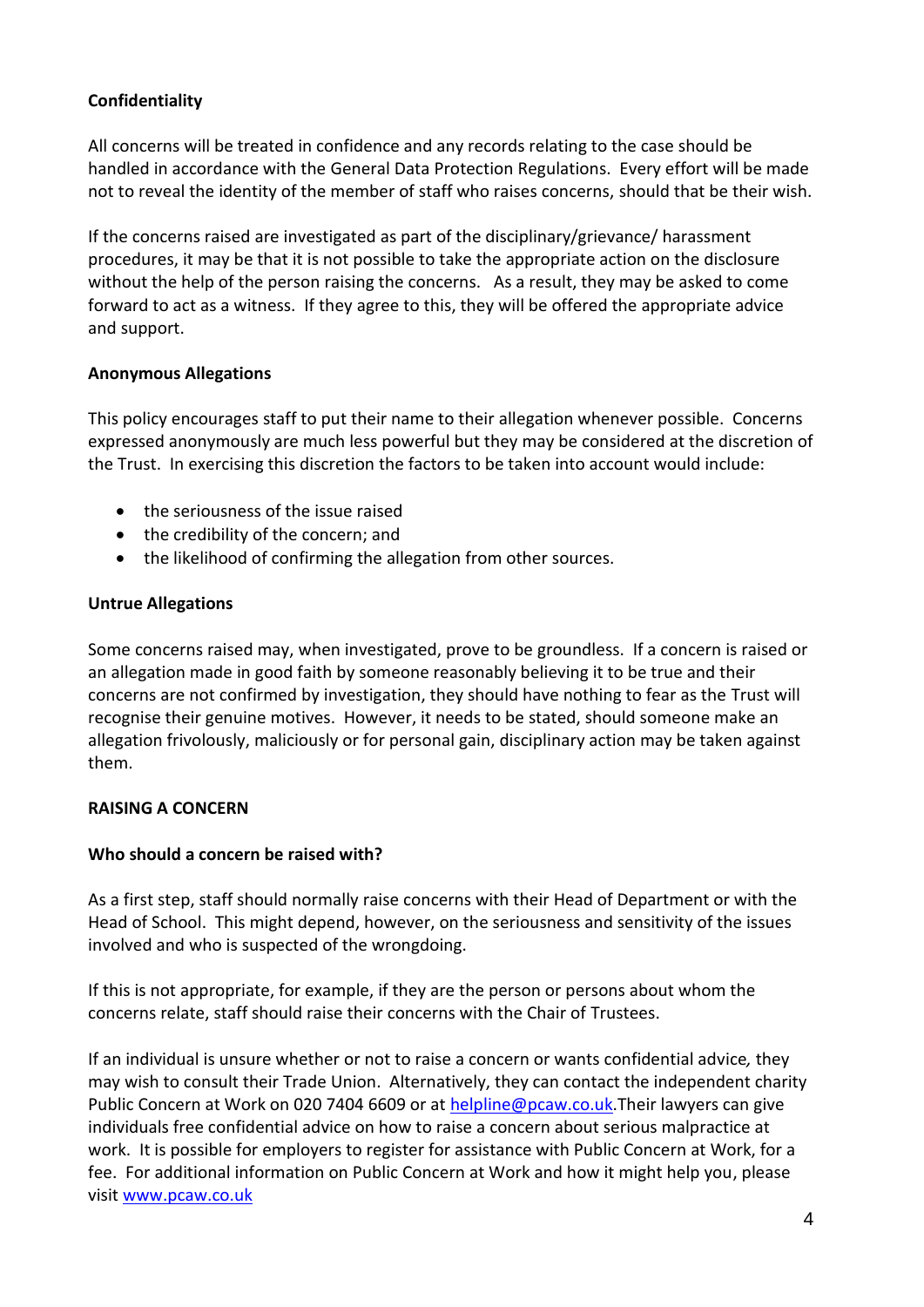## **Confidentiality**

All concerns will be treated in confidence and any records relating to the case should be handled in accordance with the General Data Protection Regulations. Every effort will be made not to reveal the identity of the member of staff who raises concerns, should that be their wish.

If the concerns raised are investigated as part of the disciplinary/grievance/ harassment procedures, it may be that it is not possible to take the appropriate action on the disclosure without the help of the person raising the concerns. As a result, they may be asked to come forward to act as a witness. If they agree to this, they will be offered the appropriate advice and support.

## **Anonymous Allegations**

This policy encourages staff to put their name to their allegation whenever possible. Concerns expressed anonymously are much less powerful but they may be considered at the discretion of the Trust. In exercising this discretion the factors to be taken into account would include:

- the seriousness of the issue raised
- the credibility of the concern; and
- the likelihood of confirming the allegation from other sources.

## **Untrue Allegations**

Some concerns raised may, when investigated, prove to be groundless. If a concern is raised or an allegation made in good faith by someone reasonably believing it to be true and their concerns are not confirmed by investigation, they should have nothing to fear as the Trust will recognise their genuine motives. However, it needs to be stated, should someone make an allegation frivolously, maliciously or for personal gain, disciplinary action may be taken against them.

# **RAISING A CONCERN**

## **Who should a concern be raised with?**

As a first step, staff should normally raise concerns with their Head of Department or with the Head of School. This might depend, however, on the seriousness and sensitivity of the issues involved and who is suspected of the wrongdoing.

If this is not appropriate, for example, if they are the person or persons about whom the concerns relate, staff should raise their concerns with the Chair of Trustees.

If an individual is unsure whether or not to raise a concern or wants confidential advice*,* they may wish to consult their Trade Union. Alternatively, they can contact the independent charity Public Concern at Work on 020 7404 6609 or at [helpline@pcaw.co.uk.](mailto:helpline@pcaw.co.uk)Their lawyers can give individuals free confidential advice on how to raise a concern about serious malpractice at work. It is possible for employers to register for assistance with Public Concern at Work, for a fee. For additional information on Public Concern at Work and how it might help you, please visit [www.pcaw.co.uk](http://www.pcaw.co.uk/)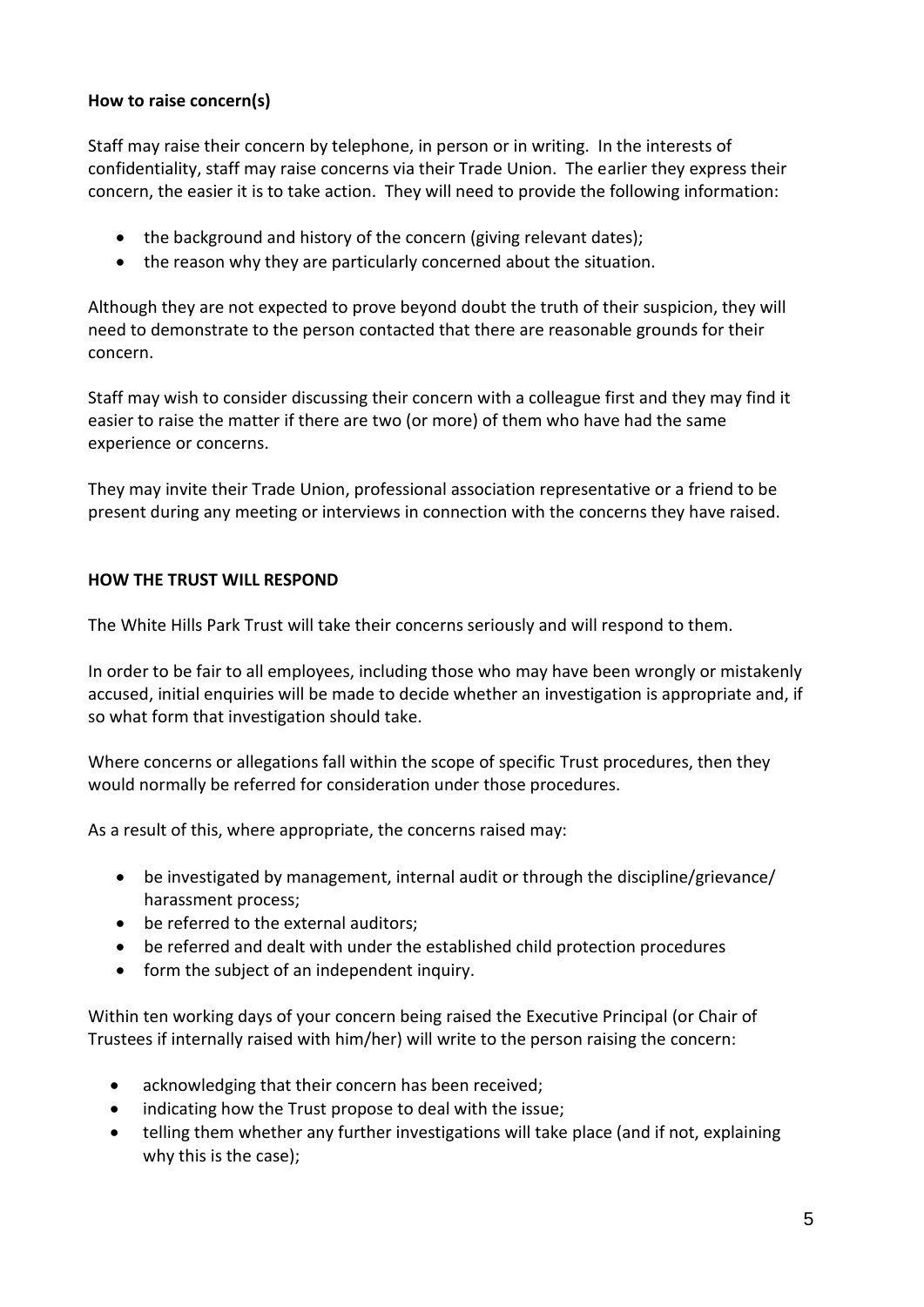## **How to raise concern(s)**

Staff may raise their concern by telephone, in person or in writing. In the interests of confidentiality, staff may raise concerns via their Trade Union. The earlier they express their concern, the easier it is to take action. They will need to provide the following information:

- the background and history of the concern (giving relevant dates);
- the reason why they are particularly concerned about the situation.

Although they are not expected to prove beyond doubt the truth of their suspicion, they will need to demonstrate to the person contacted that there are reasonable grounds for their concern.

Staff may wish to consider discussing their concern with a colleague first and they may find it easier to raise the matter if there are two (or more) of them who have had the same experience or concerns.

They may invite their Trade Union, professional association representative or a friend to be present during any meeting or interviews in connection with the concerns they have raised.

## **HOW THE TRUST WILL RESPOND**

The White Hills Park Trust will take their concerns seriously and will respond to them.

In order to be fair to all employees, including those who may have been wrongly or mistakenly accused, initial enquiries will be made to decide whether an investigation is appropriate and, if so what form that investigation should take.

Where concerns or allegations fall within the scope of specific Trust procedures, then they would normally be referred for consideration under those procedures.

As a result of this, where appropriate, the concerns raised may:

- be investigated by management, internal audit or through the discipline/grievance/ harassment process;
- be referred to the external auditors;
- be referred and dealt with under the established child protection procedures
- form the subject of an independent inquiry.

Within ten working days of your concern being raised the Executive Principal (or Chair of Trustees if internally raised with him/her) will write to the person raising the concern:

- acknowledging that their concern has been received;
- indicating how the Trust propose to deal with the issue;
- telling them whether any further investigations will take place (and if not, explaining why this is the case);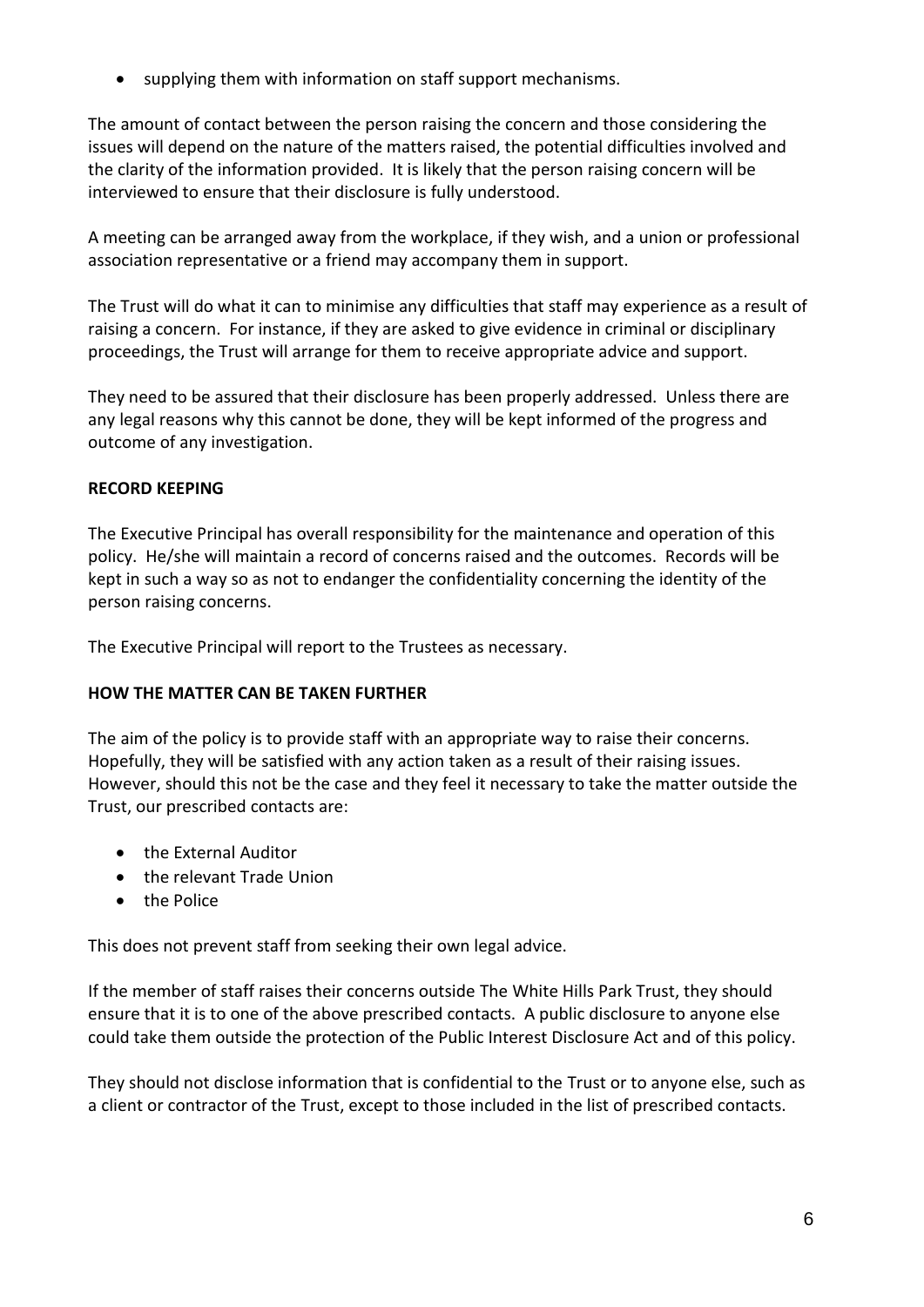• supplying them with information on staff support mechanisms.

The amount of contact between the person raising the concern and those considering the issues will depend on the nature of the matters raised, the potential difficulties involved and the clarity of the information provided. It is likely that the person raising concern will be interviewed to ensure that their disclosure is fully understood.

A meeting can be arranged away from the workplace, if they wish, and a union or professional association representative or a friend may accompany them in support.

The Trust will do what it can to minimise any difficulties that staff may experience as a result of raising a concern. For instance, if they are asked to give evidence in criminal or disciplinary proceedings, the Trust will arrange for them to receive appropriate advice and support.

They need to be assured that their disclosure has been properly addressed. Unless there are any legal reasons why this cannot be done, they will be kept informed of the progress and outcome of any investigation.

#### **RECORD KEEPING**

The Executive Principal has overall responsibility for the maintenance and operation of this policy. He/she will maintain a record of concerns raised and the outcomes. Records will be kept in such a way so as not to endanger the confidentiality concerning the identity of the person raising concerns.

The Executive Principal will report to the Trustees as necessary.

## **HOW THE MATTER CAN BE TAKEN FURTHER**

The aim of the policy is to provide staff with an appropriate way to raise their concerns. Hopefully, they will be satisfied with any action taken as a result of their raising issues. However, should this not be the case and they feel it necessary to take the matter outside the Trust, our prescribed contacts are:

- the External Auditor
- the relevant Trade Union
- the Police

This does not prevent staff from seeking their own legal advice.

If the member of staff raises their concerns outside The White Hills Park Trust, they should ensure that it is to one of the above prescribed contacts. A public disclosure to anyone else could take them outside the protection of the Public Interest Disclosure Act and of this policy.

They should not disclose information that is confidential to the Trust or to anyone else, such as a client or contractor of the Trust, except to those included in the list of prescribed contacts.